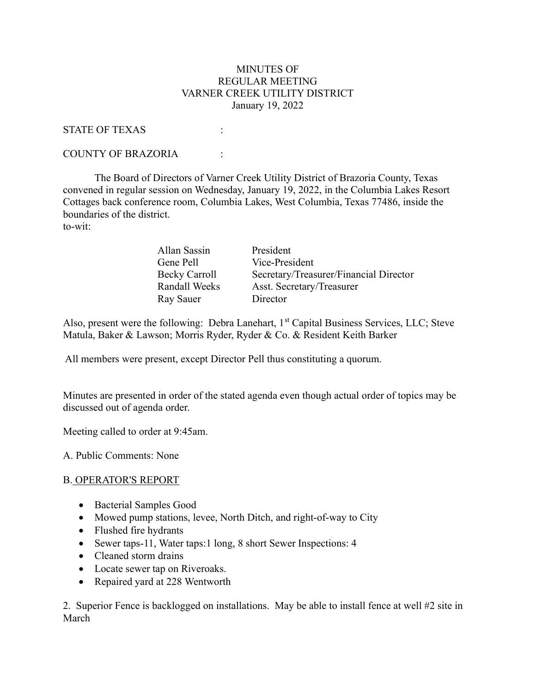### MINUTES OF REGULAR MEETING VARNER CREEK UTILITY DISTRICT January 19, 2022

#### STATE OF TEXAS :

#### COUNTY OF BRAZORIA :

 The Board of Directors of Varner Creek Utility District of Brazoria County, Texas convened in regular session on Wednesday, January 19, 2022, in the Columbia Lakes Resort Cottages back conference room, Columbia Lakes, West Columbia, Texas 77486, inside the boundaries of the district. to-wit:

| Allan Sassin  | President                              |
|---------------|----------------------------------------|
| Gene Pell     | Vice-President                         |
| Becky Carroll | Secretary/Treasurer/Financial Director |
| Randall Weeks | Asst. Secretary/Treasurer              |
| Ray Sauer     | Director                               |

Also, present were the following: Debra Lanehart,  $1<sup>st</sup>$  Capital Business Services, LLC; Steve Matula, Baker & Lawson; Morris Ryder, Ryder & Co. & Resident Keith Barker

All members were present, except Director Pell thus constituting a quorum.

Minutes are presented in order of the stated agenda even though actual order of topics may be discussed out of agenda order.

Meeting called to order at 9:45am.

A. Public Comments: None

### B. OPERATOR'S REPORT

- Bacterial Samples Good
- Mowed pump stations, levee, North Ditch, and right-of-way to City
- Flushed fire hydrants
- Sewer taps-11, Water taps:1 long, 8 short Sewer Inspections: 4
- Cleaned storm drains
- Locate sewer tap on Riveroaks.
- Repaired yard at 228 Wentworth

2. Superior Fence is backlogged on installations. May be able to install fence at well #2 site in March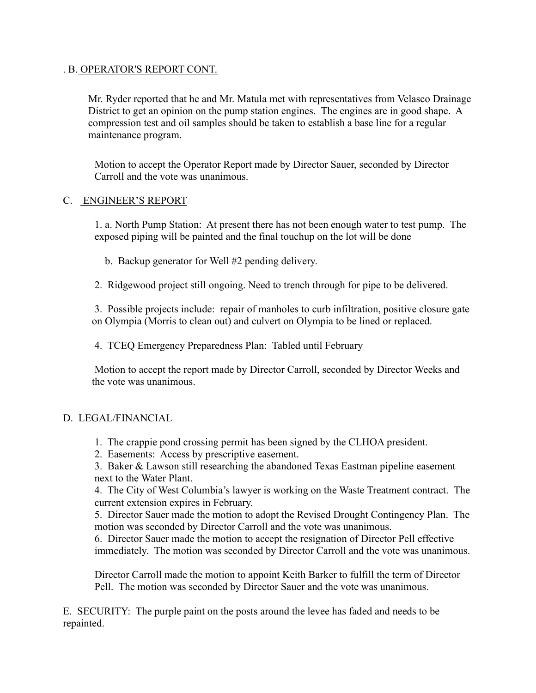### . B. OPERATOR'S REPORT CONT.

Mr. Ryder reported that he and Mr. Matula met with representatives from Velasco Drainage District to get an opinion on the pump station engines. The engines are in good shape. A compression test and oil samples should be taken to establish a base line for a regular maintenance program.

Motion to accept the Operator Report made by Director Sauer, seconded by Director Carroll and the vote was unanimous.

## C. ENGINEER'S REPORT

1. a. North Pump Station: At present there has not been enough water to test pump. The exposed piping will be painted and the final touchup on the lot will be done

b. Backup generator for Well #2 pending delivery.

2. Ridgewood project still ongoing. Need to trench through for pipe to be delivered.

3. Possible projects include: repair of manholes to curb infiltration, positive closure gate on Olympia (Morris to clean out) and culvert on Olympia to be lined or replaced.

4. TCEQ Emergency Preparedness Plan: Tabled until February

Motion to accept the report made by Director Carroll, seconded by Director Weeks and the vote was unanimous.

# D. LEGAL/FINANCIAL

- 1. The crappie pond crossing permit has been signed by the CLHOA president.
- 2. Easements: Access by prescriptive easement.

3. Baker & Lawson still researching the abandoned Texas Eastman pipeline easement next to the Water Plant.

4. The City of West Columbia's lawyer is working on the Waste Treatment contract. The current extension expires in February.

5. Director Sauer made the motion to adopt the Revised Drought Contingency Plan. The motion was seconded by Director Carroll and the vote was unanimous.

6. Director Sauer made the motion to accept the resignation of Director Pell effective immediately. The motion was seconded by Director Carroll and the vote was unanimous.

Director Carroll made the motion to appoint Keith Barker to fulfill the term of Director Pell. The motion was seconded by Director Sauer and the vote was unanimous.

E. SECURITY: The purple paint on the posts around the levee has faded and needs to be repainted.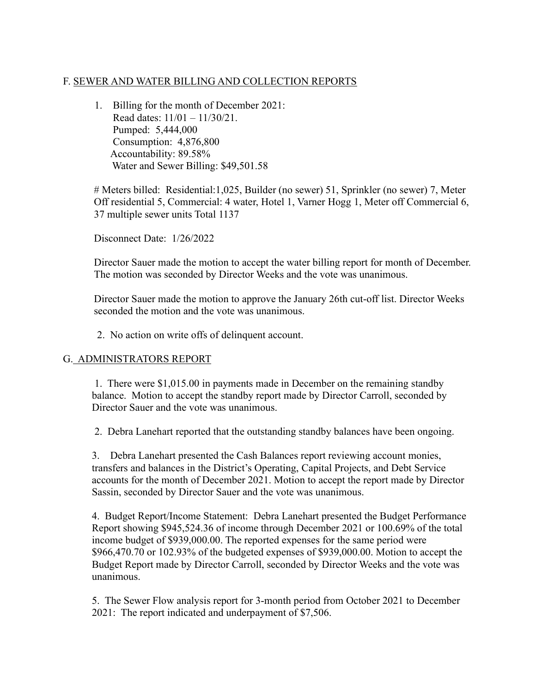# F. SEWER AND WATER BILLING AND COLLECTION REPORTS

1. Billing for the month of December 2021: Read dates: 11/01 – 11/30/21. Pumped: 5,444,000 Consumption: 4,876,800 Accountability: 89.58% Water and Sewer Billing: \$49,501.58

# Meters billed: Residential:1,025, Builder (no sewer) 51, Sprinkler (no sewer) 7, Meter Off residential 5, Commercial: 4 water, Hotel 1, Varner Hogg 1, Meter off Commercial 6, 37 multiple sewer units Total 1137

Disconnect Date: 1/26/2022

Director Sauer made the motion to accept the water billing report for month of December. The motion was seconded by Director Weeks and the vote was unanimous.

Director Sauer made the motion to approve the January 26th cut-off list. Director Weeks seconded the motion and the vote was unanimous.

2. No action on write offs of delinquent account.

# G. ADMINISTRATORS REPORT

1. There were \$1,015.00 in payments made in December on the remaining standby balance. Motion to accept the standby report made by Director Carroll, seconded by Director Sauer and the vote was unanimous.

2. Debra Lanehart reported that the outstanding standby balances have been ongoing.

3. Debra Lanehart presented the Cash Balances report reviewing account monies, transfers and balances in the District's Operating, Capital Projects, and Debt Service accounts for the month of December 2021. Motion to accept the report made by Director Sassin, seconded by Director Sauer and the vote was unanimous.

4. Budget Report/Income Statement: Debra Lanehart presented the Budget Performance Report showing \$945,524.36 of income through December 2021 or 100.69% of the total income budget of \$939,000.00. The reported expenses for the same period were \$966,470.70 or 102.93% of the budgeted expenses of \$939,000.00. Motion to accept the Budget Report made by Director Carroll, seconded by Director Weeks and the vote was unanimous.

5. The Sewer Flow analysis report for 3-month period from October 2021 to December 2021: The report indicated and underpayment of \$7,506.